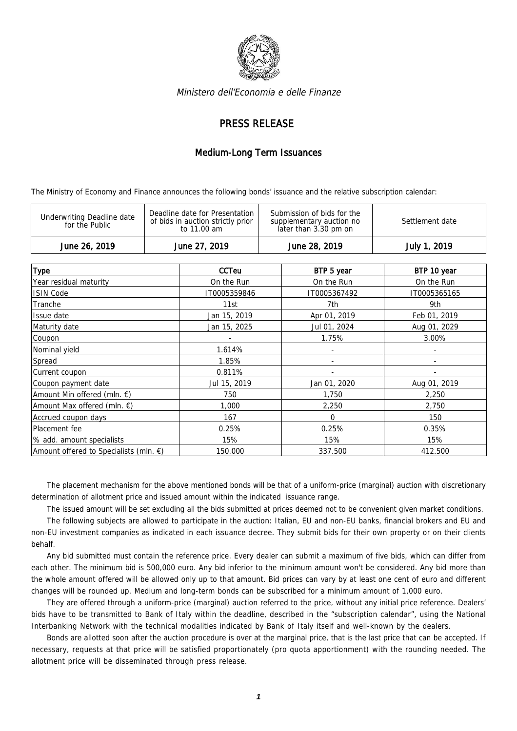

Ministero dell'Economia e delle Finanze

## PRESS RELEASE

## Medium-Long Term Issuances

The Ministry of Economy and Finance announces the following bonds' issuance and the relative subscription calendar:

| Submission of bids for the<br>Deadline date for Presentation<br>Underwriting Deadline date<br>of bids in auction strictly prior<br>Settlement date<br>supplementary auction no<br>for the Public<br>later than 3.30 pm on<br>to 11.00 am | June 26, 2019 | June 27, 2019 | June 28, 2019 | July 1, 2019 |
|------------------------------------------------------------------------------------------------------------------------------------------------------------------------------------------------------------------------------------------|---------------|---------------|---------------|--------------|
|                                                                                                                                                                                                                                          |               |               |               |              |

| <b>Type</b>                                      | CCTeu        | BTP 5 year   | BTP 10 year  |
|--------------------------------------------------|--------------|--------------|--------------|
| Year residual maturity                           | On the Run   | On the Run   | On the Run   |
| <b>ISIN Code</b>                                 | IT0005359846 | IT0005367492 | IT0005365165 |
| Tranche                                          | 11st         | 7th          | 9th          |
| Issue date                                       | Jan 15, 2019 | Apr 01, 2019 | Feb 01, 2019 |
| Maturity date                                    | Jan 15, 2025 | Jul 01, 2024 | Aug 01, 2029 |
| Coupon                                           |              | 1.75%        | 3.00%        |
| Nominal yield                                    | 1.614%       |              |              |
| Spread                                           | 1.85%        |              |              |
| Current coupon                                   | 0.811%       |              |              |
| Coupon payment date                              | Jul 15, 2019 | Jan 01, 2020 | Aug 01, 2019 |
| Amount Min offered (mln. $\epsilon$ )            | 750          | 1,750        | 2,250        |
| Amount Max offered (mln. $\epsilon$ )            | 1,000        | 2,250        | 2,750        |
| Accrued coupon days                              | 167          | $\Omega$     | 150          |
| Placement fee                                    | 0.25%        | 0.25%        | 0.35%        |
| % add. amount specialists                        | 15%          | 15%          | 15%          |
| Amount offered to Specialists (mln. $\epsilon$ ) | 150.000      | 337.500      | 412.500      |

The placement mechanism for the above mentioned bonds will be that of a uniform-price (marginal) auction with discretionary determination of allotment price and issued amount within the indicated issuance range.

The issued amount will be set excluding all the bids submitted at prices deemed not to be convenient given market conditions.

The following subjects are allowed to participate in the auction: Italian, EU and non-EU banks, financial brokers and EU and non-EU investment companies as indicated in each issuance decree. They submit bids for their own property or on their clients behalf.

Any bid submitted must contain the reference price. Every dealer can submit a maximum of five bids, which can differ from each other. The minimum bid is 500,000 euro. Any bid inferior to the minimum amount won't be considered. Any bid more than the whole amount offered will be allowed only up to that amount. Bid prices can vary by at least one cent of euro and different changes will be rounded up. Medium and long-term bonds can be subscribed for a minimum amount of 1,000 euro.

They are offered through a uniform-price (marginal) auction referred to the price, without any initial price reference. Dealers' bids have to be transmitted to Bank of Italy within the deadline, described in the "subscription calendar", using the National Interbanking Network with the technical modalities indicated by Bank of Italy itself and well-known by the dealers.

Bonds are allotted soon after the auction procedure is over at the marginal price, that is the last price that can be accepted. If necessary, requests at that price will be satisfied proportionately (pro quota apportionment) with the rounding needed. The allotment price will be disseminated through press release.